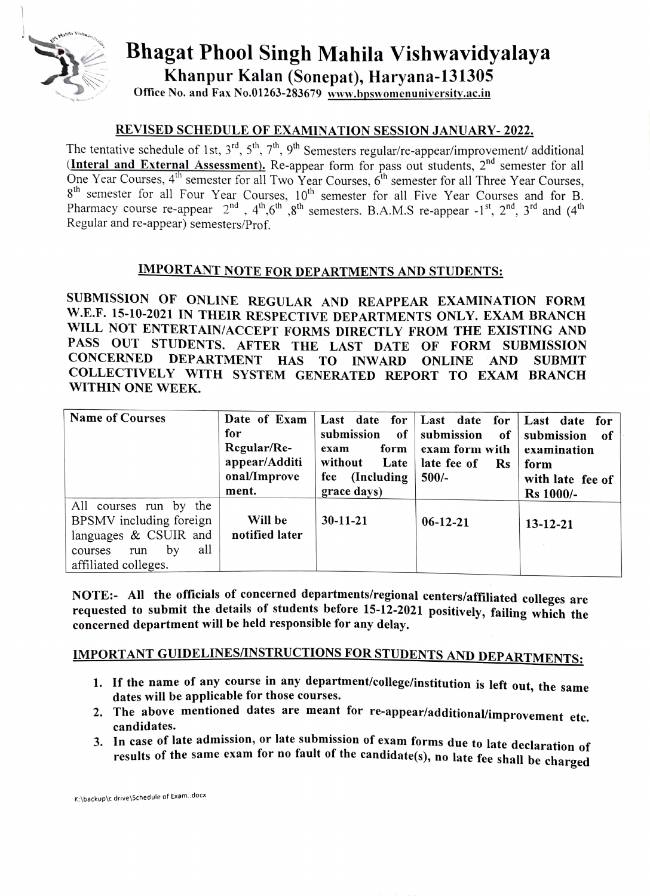

## Bhagat Phool Singh Mahila Vishwavidyalaya Khanpur Kalan (Sonepat), Haryana-131305

Office No. and Fax No.01263-283679 www.bpswomenuniversity.ac.in

### REVISED SCHEDULE OF EXAMINATION SESSIONJANUARY-2022.

The tentative schedule of 1st,  $3^{rd}$ ,  $5^{th}$ ,  $7^{th}$ ,  $9^{th}$  Semesters regular/re-appear/improvement/ additional  $In the real and External Assessment$ ). Re-appear form for pass out students,  $2<sup>nd</sup>$  semester for all One Year Courses, 4<sup>th</sup> semester for all Two Year Courses, 6<sup>th</sup> semester for all Three Year Courses, 8<sup>th</sup> semester for all Four Year Courses, 10<sup>th</sup> semester for all Five Year Courses and for B. Pharmacy course re-appear  $2^{nd}$ ,  $4^{th}$ ,  $6^{th}$ ,  $8^{th}$  semesters. B.A.M.S re-appear  $-1^{st}$ ,  $2^{nd}$ ,  $3^{rd}$  and  $(4^{th}$ Regular and re-appear) semesters/Prof.

### IMPORTANT NOTE FOR DEPARTMENTS AND STUDENTS:

SUBMISSION OF ONLINE REGULAR AND REAPPEAR EXAMINATION FORM W.E.F. 15-10-2021 IN THEIR RESPECTIVE DEPARTMENTS ONLY. EXAM BRANCH WILL NOT ENTERTAIN/ACCEPT FORMS DIRECTLY FROM THE EXISTING AND PASS OUT STUDENTS. AFTER THE LAST DATE OF FORM SUBMISSION CONCERNED DEPARTMENT HAS TO INWARD ONLINE AND SUBMIT COLLECTTVELY WITH SYSTEM GENERATED REPORT To EXAM BrANCH WITHIN ONE WEEK.

| <b>Name of Courses</b>                                                                                                               | Date of Exam<br>for<br>Regular/Re-<br>appear/Additi<br>onal/Improve<br>ment. | Last date for $\vert$<br>submission<br>of<br>form<br>exam<br>without<br>Late<br>(Including)<br>fee<br>grace days) | Last date<br>for<br>submission<br>of<br>exam form with<br>late fee of<br><b>Rs</b><br>$500/-$ | Last date for<br>submission<br>-of<br>examination<br>form<br>with late fee of<br><b>Rs</b> 1000/- |
|--------------------------------------------------------------------------------------------------------------------------------------|------------------------------------------------------------------------------|-------------------------------------------------------------------------------------------------------------------|-----------------------------------------------------------------------------------------------|---------------------------------------------------------------------------------------------------|
| All courses run by<br>the<br>BPSMV including foreign<br>languages & CSUIR and<br>all<br>by<br>courses<br>run<br>affiliated colleges. | Will be<br>notified later                                                    | $30 - 11 - 21$                                                                                                    | $06-12-21$                                                                                    | $13 - 12 - 21$                                                                                    |

NOTE:- All the officials of concerned departments/regional centers/affiliated colleges are requested to submit the details of students before 15-12-2021 positively, failing which the concerned department will be held responsible for any delay.

# IMPORTANT GUIDELINES/INSTRUCTIONS FOR STUDENTS AND DEPARTMENTS:

- 1. If the name of any course in any department/college/institution is left out, the same dates will be applicable for those courses.
- 2. The above mentioned dates are meant for re-appear/additional/improvement etc. candidates.
- 3. In case of late admission, or late submission of exam forms due to late declaration of results of the same exam for no fault of the candidate(s), no late fee shall be charged

K:\backup\c drive \Schedule of Exam.docx